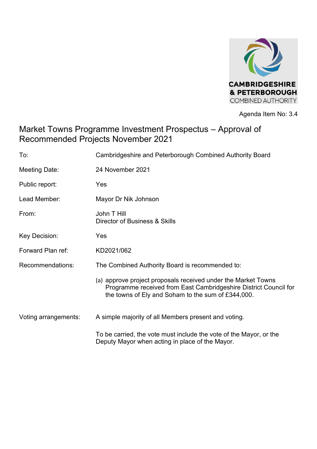

Agenda Item No: 3.4

# Market Towns Programme Investment Prospectus – Approval of Recommended Projects November 2021

| To:                  | Cambridgeshire and Peterborough Combined Authority Board                                                                                                                                |  |  |
|----------------------|-----------------------------------------------------------------------------------------------------------------------------------------------------------------------------------------|--|--|
| Meeting Date:        | 24 November 2021                                                                                                                                                                        |  |  |
| Public report:       | Yes                                                                                                                                                                                     |  |  |
| Lead Member:         | Mayor Dr Nik Johnson                                                                                                                                                                    |  |  |
| From:                | John T Hill<br>Director of Business & Skills                                                                                                                                            |  |  |
| Key Decision:        | Yes                                                                                                                                                                                     |  |  |
| Forward Plan ref:    | KD2021/062                                                                                                                                                                              |  |  |
| Recommendations:     | The Combined Authority Board is recommended to:                                                                                                                                         |  |  |
|                      | (a) approve project proposals received under the Market Towns<br>Programme received from East Cambridgeshire District Council for<br>the towns of Ely and Soham to the sum of £344,000. |  |  |
| Voting arrangements: | A simple majority of all Members present and voting.                                                                                                                                    |  |  |
|                      | To be carried, the vote must include the vote of the Mayor, or the<br>Deputy Mayor when acting in place of the Mayor.                                                                   |  |  |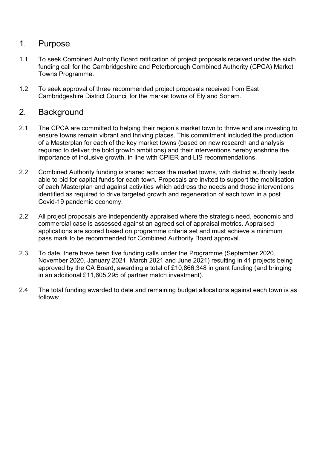### 1. Purpose

- 1.1 To seek Combined Authority Board ratification of project proposals received under the sixth funding call for the Cambridgeshire and Peterborough Combined Authority (CPCA) Market Towns Programme.
- 1.2 To seek approval of three recommended project proposals received from East Cambridgeshire District Council for the market towns of Ely and Soham.

### 2. Background

- 2.1 The CPCA are committed to helping their region's market town to thrive and are investing to ensure towns remain vibrant and thriving places. This commitment included the production of a Masterplan for each of the key market towns (based on new research and analysis required to deliver the bold growth ambitions) and their interventions hereby enshrine the importance of inclusive growth, in line with CPIER and LIS recommendations.
- 2.2 Combined Authority funding is shared across the market towns, with district authority leads able to bid for capital funds for each town. Proposals are invited to support the mobilisation of each Masterplan and against activities which address the needs and those interventions identified as required to drive targeted growth and regeneration of each town in a post Covid-19 pandemic economy.
- 2.2 All project proposals are independently appraised where the strategic need, economic and commercial case is assessed against an agreed set of appraisal metrics. Appraised applications are scored based on programme criteria set and must achieve a minimum pass mark to be recommended for Combined Authority Board approval.
- 2.3 To date, there have been five funding calls under the Programme (September 2020, November 2020, January 2021, March 2021 and June 2021) resulting in 41 projects being approved by the CA Board, awarding a total of £10,866,348 in grant funding (and bringing in an additional £11,605,295 of partner match investment).
- 2.4 The total funding awarded to date and remaining budget allocations against each town is as follows: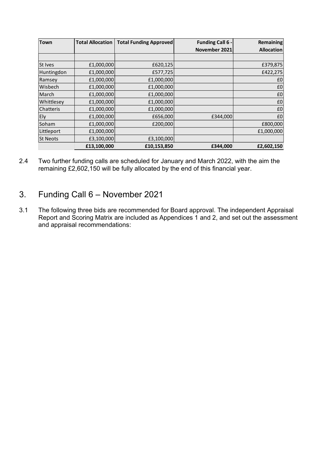| <b>Town</b>     | <b>Total Allocation</b> | <b>Total Funding Approved</b> | <b>Funding Call 6 -</b> | <b>Remaining</b>  |
|-----------------|-------------------------|-------------------------------|-------------------------|-------------------|
|                 |                         |                               | November 2021           | <b>Allocation</b> |
|                 |                         |                               |                         |                   |
| <b>St Ives</b>  | £1,000,000              | £620,125                      |                         | £379,875          |
| Huntingdon      | £1,000,000              | £577,725                      |                         | £422,275          |
| Ramsey          | £1,000,000              | £1,000,000                    |                         | £0                |
| Wisbech         | £1,000,000              | £1,000,000                    |                         | £0                |
| March           | £1,000,000              | £1,000,000                    |                         | £0                |
| Whittlesey      | £1,000,000              | £1,000,000                    |                         | £0                |
| Chatteris       | £1,000,000              | £1,000,000                    |                         | £0                |
| Ely             | £1,000,000              | £656,000                      | £344,000                | £0                |
| Soham           | £1,000,000              | £200,000                      |                         | £800,000          |
| Littleport      | £1,000,000              |                               |                         | £1,000,000        |
| <b>St Neots</b> | £3,100,000              | £3,100,000                    |                         |                   |
|                 | £13,100,000             | £10,153,850                   | £344,000                | £2,602,150        |

2.4 Two further funding calls are scheduled for January and March 2022, with the aim the remaining £2,602,150 will be fully allocated by the end of this financial year.

## 3. Funding Call 6 – November 2021

3.1 The following three bids are recommended for Board approval. The independent Appraisal Report and Scoring Matrix are included as Appendices 1 and 2, and set out the assessment and appraisal recommendations: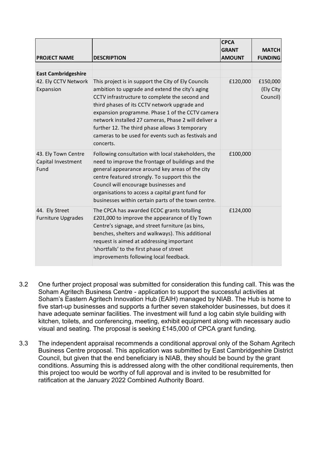|                                                   |                                                                                                                                                                                                                                                                                                                                                                                                                                           | <b>CPCA</b><br><b>GRANT</b> | <b>MATCH</b>                      |
|---------------------------------------------------|-------------------------------------------------------------------------------------------------------------------------------------------------------------------------------------------------------------------------------------------------------------------------------------------------------------------------------------------------------------------------------------------------------------------------------------------|-----------------------------|-----------------------------------|
| <b>PROJECT NAME</b>                               | <b>DESCRIPTION</b>                                                                                                                                                                                                                                                                                                                                                                                                                        | <b>AMOUNT</b>               | <b>FUNDING</b>                    |
|                                                   |                                                                                                                                                                                                                                                                                                                                                                                                                                           |                             |                                   |
| <b>East Cambridgeshire</b>                        |                                                                                                                                                                                                                                                                                                                                                                                                                                           |                             |                                   |
| 42. Ely CCTV Network<br>Expansion                 | This project is in support the City of Ely Councils<br>ambition to upgrade and extend the city's aging<br>CCTV infrastructure to complete the second and<br>third phases of its CCTV network upgrade and<br>expansion programme. Phase 1 of the CCTV camera<br>network installed 27 cameras, Phase 2 will deliver a<br>further 12. The third phase allows 3 temporary<br>cameras to be used for events such as festivals and<br>concerts. | £120,000                    | £150,000<br>(Ely City<br>Council) |
| 43. Ely Town Centre<br>Capital Investment<br>Fund | Following consultation with local stakeholders, the<br>need to improve the frontage of buildings and the<br>general appearance around key areas of the city<br>centre featured strongly. To support this the<br>Council will encourage businesses and<br>organisations to access a capital grant fund for<br>businesses within certain parts of the town centre.                                                                          | £100,000                    |                                   |
| 44. Ely Street<br><b>Furniture Upgrades</b>       | The CPCA has awarded ECDC grants totalling<br>£201,000 to improve the appearance of Ely Town<br>Centre's signage, and street furniture (as bins,<br>benches, shelters and walkways). This additional<br>request is aimed at addressing important<br>'shortfalls' to the first phase of street<br>improvements following local feedback.                                                                                                   | £124,000                    |                                   |

- 3.2 One further project proposal was submitted for consideration this funding call. This was the Soham Agritech Business Centre - application to support the successful activities at Soham's Eastern Agritech Innovation Hub (EAIH) managed by NIAB. The Hub is home to five start-up businesses and supports a further seven stakeholder businesses, but does it have adequate seminar facilities. The investment will fund a log cabin style building with kitchen, toilets, and conferencing, meeting, exhibit equipment along with necessary audio visual and seating. The proposal is seeking £145,000 of CPCA grant funding.
- 3.3 The independent appraisal recommends a conditional approval only of the Soham Agritech Business Centre proposal. This application was submitted by East Cambridgeshire District Council, but given that the end beneficiary is NIAB, they should be bound by the grant conditions. Assuming this is addressed along with the other conditional requirements, then this project too would be worthy of full approval and is invited to be resubmitted for ratification at the January 2022 Combined Authority Board.